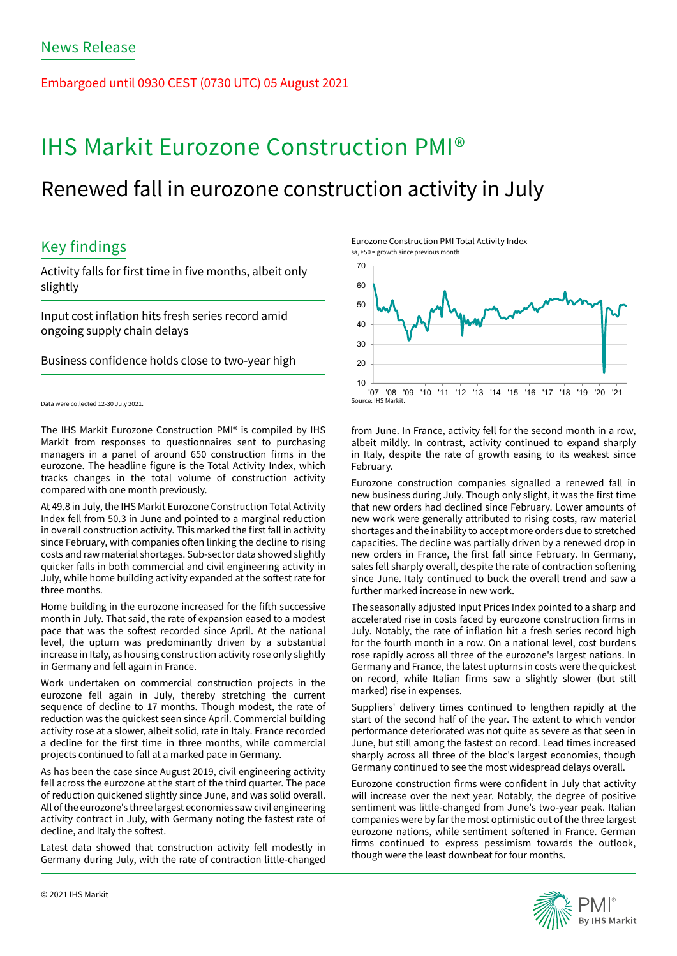Embargoed until 0930 CEST (0730 UTC) 05 August 2021

# IHS Markit Eurozone Construction PMI®

# Renewed fall in eurozone construction activity in July

## Key findings

Activity falls for first time in five months, albeit only slightly

Input cost inflation hits fresh series record amid ongoing supply chain delays

Business confidence holds close to two-year high

```
Data were collected 12-30 July 2021.
```
The IHS Markit Eurozone Construction PMI® is compiled by IHS Markit from responses to questionnaires sent to purchasing managers in a panel of around 650 construction firms in the eurozone. The headline figure is the Total Activity Index, which tracks changes in the total volume of construction activity compared with one month previously.

At 49.8 in July, the IHS Markit Eurozone Construction Total Activity Index fell from 50.3 in June and pointed to a marginal reduction in overall construction activity. This marked the first fall in activity since February, with companies often linking the decline to rising costs and raw material shortages. Sub-sector data showed slightly quicker falls in both commercial and civil engineering activity in July, while home building activity expanded at the softest rate for three months.

Home building in the eurozone increased for the fifth successive month in July. That said, the rate of expansion eased to a modest pace that was the softest recorded since April. At the national level, the upturn was predominantly driven by a substantial increase in Italy, as housing construction activity rose only slightly in Germany and fell again in France.

Work undertaken on commercial construction projects in the eurozone fell again in July, thereby stretching the current sequence of decline to 17 months. Though modest, the rate of reduction was the quickest seen since April. Commercial building activity rose at a slower, albeit solid, rate in Italy. France recorded a decline for the first time in three months, while commercial projects continued to fall at a marked pace in Germany.

As has been the case since August 2019, civil engineering activity fell across the eurozone at the start of the third quarter. The pace of reduction quickened slightly since June, and was solid overall. All of the eurozone's three largest economies saw civil engineering activity contract in July, with Germany noting the fastest rate of decline, and Italy the softest.

Latest data showed that construction activity fell modestly in Germany during July, with the rate of contraction little-changed Eurozone Construction PMI Total Activity Index sa, >50 = growth since previous month



from June. In France, activity fell for the second month in a row, albeit mildly. In contrast, activity continued to expand sharply in Italy, despite the rate of growth easing to its weakest since February.

Eurozone construction companies signalled a renewed fall in new business during July. Though only slight, it was the first time that new orders had declined since February. Lower amounts of new work were generally attributed to rising costs, raw material shortages and the inability to accept more orders due to stretched capacities. The decline was partially driven by a renewed drop in new orders in France, the first fall since February. In Germany, sales fell sharply overall, despite the rate of contraction softening since June. Italy continued to buck the overall trend and saw a further marked increase in new work.

The seasonally adjusted Input Prices Index pointed to a sharp and accelerated rise in costs faced by eurozone construction firms in July. Notably, the rate of inflation hit a fresh series record high for the fourth month in a row. On a national level, cost burdens rose rapidly across all three of the eurozone's largest nations. In Germany and France, the latest upturns in costs were the quickest on record, while Italian firms saw a slightly slower (but still marked) rise in expenses.

Suppliers' delivery times continued to lengthen rapidly at the start of the second half of the year. The extent to which vendor performance deteriorated was not quite as severe as that seen in June, but still among the fastest on record. Lead times increased sharply across all three of the bloc's largest economies, though Germany continued to see the most widespread delays overall.

Eurozone construction firms were confident in July that activity will increase over the next year. Notably, the degree of positive sentiment was little-changed from June's two-year peak. Italian companies were by far the most optimistic out of the three largest eurozone nations, while sentiment softened in France. German firms continued to express pessimism towards the outlook, though were the least downbeat for four months.